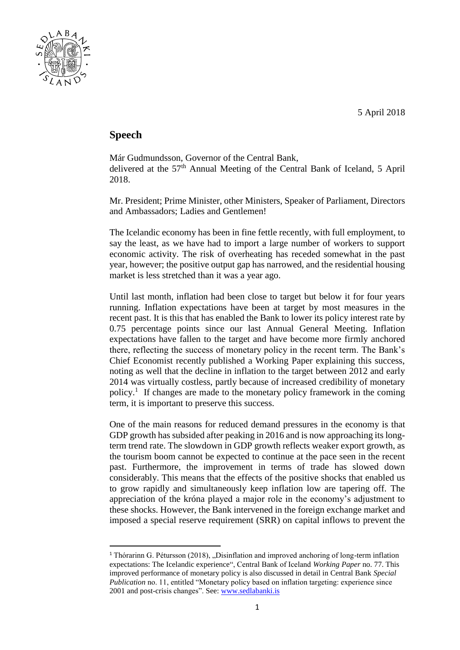

## **Speech**

1

Már Gudmundsson, Governor of the Central Bank, delivered at the 57<sup>th</sup> Annual Meeting of the Central Bank of Iceland, 5 April 2018.

Mr. President; Prime Minister, other Ministers, Speaker of Parliament, Directors and Ambassadors; Ladies and Gentlemen!

The Icelandic economy has been in fine fettle recently, with full employment, to say the least, as we have had to import a large number of workers to support economic activity. The risk of overheating has receded somewhat in the past year, however; the positive output gap has narrowed, and the residential housing market is less stretched than it was a year ago.

Until last month, inflation had been close to target but below it for four years running. Inflation expectations have been at target by most measures in the recent past. It is this that has enabled the Bank to lower its policy interest rate by 0.75 percentage points since our last Annual General Meeting. Inflation expectations have fallen to the target and have become more firmly anchored there, reflecting the success of monetary policy in the recent term. The Bank's Chief Economist recently published a Working Paper explaining this success, noting as well that the decline in inflation to the target between 2012 and early 2014 was virtually costless, partly because of increased credibility of monetary policy.<sup>1</sup> If changes are made to the monetary policy framework in the coming term, it is important to preserve this success.

One of the main reasons for reduced demand pressures in the economy is that GDP growth has subsided after peaking in 2016 and is now approaching its longterm trend rate. The slowdown in GDP growth reflects weaker export growth, as the tourism boom cannot be expected to continue at the pace seen in the recent past. Furthermore, the improvement in terms of trade has slowed down considerably. This means that the effects of the positive shocks that enabled us to grow rapidly and simultaneously keep inflation low are tapering off. The appreciation of the króna played a major role in the economy's adjustment to these shocks. However, the Bank intervened in the foreign exchange market and imposed a special reserve requirement (SRR) on capital inflows to prevent the

<sup>&</sup>lt;sup>1</sup> Thórarinn G. Pétursson (2018), "Disinflation and improved anchoring of long-term inflation expectations: The Icelandic experience", Central Bank of Iceland *Working Paper* no. 77. This improved performance of monetary policy is also discussed in detail in Central Bank *Special Publication* no. 11, entitled "Monetary policy based on inflation targeting: experience since 2001 and post-crisis changes". See: [www.sedlabanki.is](http://www.sedlabanki.is/)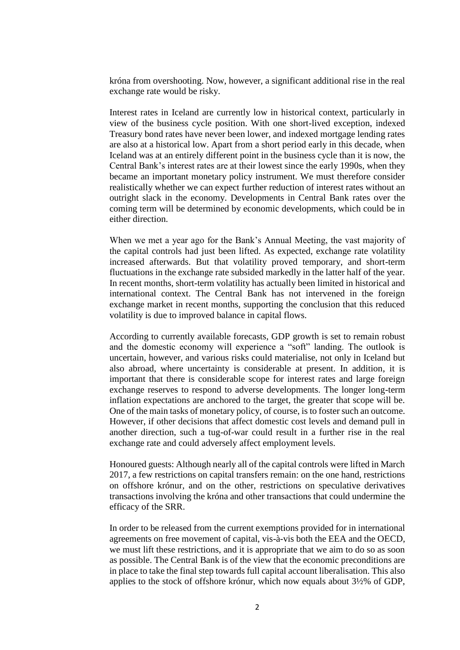króna from overshooting. Now, however, a significant additional rise in the real exchange rate would be risky.

Interest rates in Iceland are currently low in historical context, particularly in view of the business cycle position. With one short-lived exception, indexed Treasury bond rates have never been lower, and indexed mortgage lending rates are also at a historical low. Apart from a short period early in this decade, when Iceland was at an entirely different point in the business cycle than it is now, the Central Bank's interest rates are at their lowest since the early 1990s, when they became an important monetary policy instrument. We must therefore consider realistically whether we can expect further reduction of interest rates without an outright slack in the economy. Developments in Central Bank rates over the coming term will be determined by economic developments, which could be in either direction.

When we met a year ago for the Bank's Annual Meeting, the vast majority of the capital controls had just been lifted. As expected, exchange rate volatility increased afterwards. But that volatility proved temporary, and short-term fluctuations in the exchange rate subsided markedly in the latter half of the year. In recent months, short-term volatility has actually been limited in historical and international context. The Central Bank has not intervened in the foreign exchange market in recent months, supporting the conclusion that this reduced volatility is due to improved balance in capital flows.

According to currently available forecasts, GDP growth is set to remain robust and the domestic economy will experience a "soft" landing. The outlook is uncertain, however, and various risks could materialise, not only in Iceland but also abroad, where uncertainty is considerable at present. In addition, it is important that there is considerable scope for interest rates and large foreign exchange reserves to respond to adverse developments. The longer long-term inflation expectations are anchored to the target, the greater that scope will be. One of the main tasks of monetary policy, of course, is to foster such an outcome. However, if other decisions that affect domestic cost levels and demand pull in another direction, such a tug-of-war could result in a further rise in the real exchange rate and could adversely affect employment levels.

Honoured guests: Although nearly all of the capital controls were lifted in March 2017, a few restrictions on capital transfers remain: on the one hand, restrictions on offshore krónur, and on the other, restrictions on speculative derivatives transactions involving the króna and other transactions that could undermine the efficacy of the SRR.

In order to be released from the current exemptions provided for in international agreements on free movement of capital, vis-à-vis both the EEA and the OECD, we must lift these restrictions, and it is appropriate that we aim to do so as soon as possible. The Central Bank is of the view that the economic preconditions are in place to take the final step towards full capital account liberalisation. This also applies to the stock of offshore krónur, which now equals about 3½% of GDP,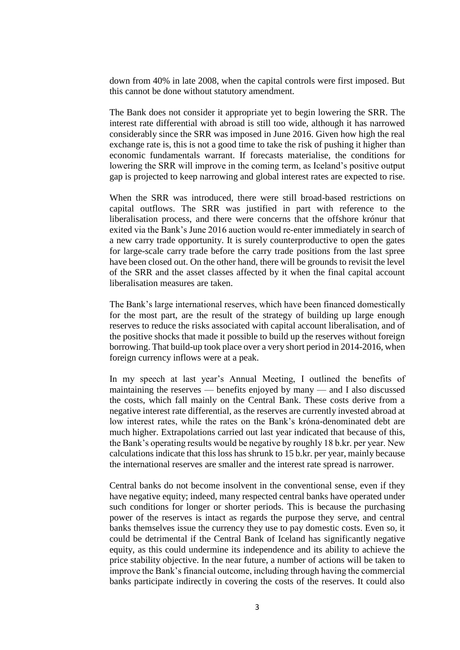down from 40% in late 2008, when the capital controls were first imposed. But this cannot be done without statutory amendment.

The Bank does not consider it appropriate yet to begin lowering the SRR. The interest rate differential with abroad is still too wide, although it has narrowed considerably since the SRR was imposed in June 2016. Given how high the real exchange rate is, this is not a good time to take the risk of pushing it higher than economic fundamentals warrant. If forecasts materialise, the conditions for lowering the SRR will improve in the coming term, as Iceland's positive output gap is projected to keep narrowing and global interest rates are expected to rise.

When the SRR was introduced, there were still broad-based restrictions on capital outflows. The SRR was justified in part with reference to the liberalisation process, and there were concerns that the offshore krónur that exited via the Bank's June 2016 auction would re-enter immediately in search of a new carry trade opportunity. It is surely counterproductive to open the gates for large-scale carry trade before the carry trade positions from the last spree have been closed out. On the other hand, there will be grounds to revisit the level of the SRR and the asset classes affected by it when the final capital account liberalisation measures are taken.

The Bank's large international reserves, which have been financed domestically for the most part, are the result of the strategy of building up large enough reserves to reduce the risks associated with capital account liberalisation, and of the positive shocks that made it possible to build up the reserves without foreign borrowing. That build-up took place over a very short period in 2014-2016, when foreign currency inflows were at a peak.

In my speech at last year's Annual Meeting, I outlined the benefits of maintaining the reserves — benefits enjoyed by many — and I also discussed the costs, which fall mainly on the Central Bank. These costs derive from a negative interest rate differential, as the reserves are currently invested abroad at low interest rates, while the rates on the Bank's króna-denominated debt are much higher. Extrapolations carried out last year indicated that because of this, the Bank's operating results would be negative by roughly 18 b.kr. per year. New calculations indicate that this loss has shrunk to 15 b.kr. per year, mainly because the international reserves are smaller and the interest rate spread is narrower.

Central banks do not become insolvent in the conventional sense, even if they have negative equity; indeed, many respected central banks have operated under such conditions for longer or shorter periods. This is because the purchasing power of the reserves is intact as regards the purpose they serve, and central banks themselves issue the currency they use to pay domestic costs. Even so, it could be detrimental if the Central Bank of Iceland has significantly negative equity, as this could undermine its independence and its ability to achieve the price stability objective. In the near future, a number of actions will be taken to improve the Bank's financial outcome, including through having the commercial banks participate indirectly in covering the costs of the reserves. It could also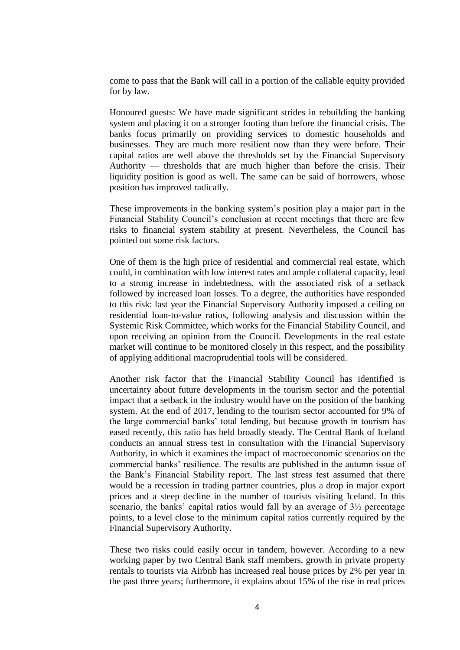come to pass that the Bank will call in a portion of the callable equity provided for by law.

Honoured guests: We have made significant strides in rebuilding the banking system and placing it on a stronger footing than before the financial crisis. The banks focus primarily on providing services to domestic households and businesses. They are much more resilient now than they were before. Their capital ratios are well above the thresholds set by the Financial Supervisory Authority — thresholds that are much higher than before the crisis. Their liquidity position is good as well. The same can be said of borrowers, whose position has improved radically.

These improvements in the banking system's position play a major part in the Financial Stability Council's conclusion at recent meetings that there are few risks to financial system stability at present. Nevertheless, the Council has pointed out some risk factors.

One of them is the high price of residential and commercial real estate, which could, in combination with low interest rates and ample collateral capacity, lead to a strong increase in indebtedness, with the associated risk of a setback followed by increased loan losses. To a degree, the authorities have responded to this risk: last year the Financial Supervisory Authority imposed a ceiling on residential loan-to-value ratios, following analysis and discussion within the Systemic Risk Committee, which works for the Financial Stability Council, and upon receiving an opinion from the Council. Developments in the real estate market will continue to be monitored closely in this respect, and the possibility of applying additional macroprudential tools will be considered.

Another risk factor that the Financial Stability Council has identified is uncertainty about future developments in the tourism sector and the potential impact that a setback in the industry would have on the position of the banking system. At the end of 2017, lending to the tourism sector accounted for 9% of the large commercial banks' total lending, but because growth in tourism has eased recently, this ratio has held broadly steady. The Central Bank of Iceland conducts an annual stress test in consultation with the Financial Supervisory Authority, in which it examines the impact of macroeconomic scenarios on the commercial banks' resilience. The results are published in the autumn issue of the Bank's Financial Stability report. The last stress test assumed that there would be a recession in trading partner countries, plus a drop in major export prices and a steep decline in the number of tourists visiting Iceland. In this scenario, the banks' capital ratios would fall by an average of 3½ percentage points, to a level close to the minimum capital ratios currently required by the Financial Supervisory Authority.

These two risks could easily occur in tandem, however. According to a new working paper by two Central Bank staff members, growth in private property rentals to tourists via Airbnb has increased real house prices by 2% per year in the past three years; furthermore, it explains about 15% of the rise in real prices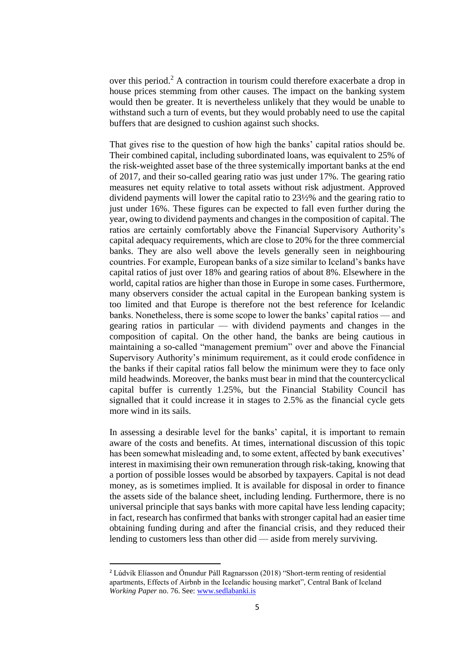over this period.<sup>2</sup> A contraction in tourism could therefore exacerbate a drop in house prices stemming from other causes. The impact on the banking system would then be greater. It is nevertheless unlikely that they would be unable to withstand such a turn of events, but they would probably need to use the capital buffers that are designed to cushion against such shocks.

That gives rise to the question of how high the banks' capital ratios should be. Their combined capital, including subordinated loans, was equivalent to 25% of the risk-weighted asset base of the three systemically important banks at the end of 2017, and their so-called gearing ratio was just under 17%. The gearing ratio measures net equity relative to total assets without risk adjustment. Approved dividend payments will lower the capital ratio to 23½% and the gearing ratio to just under 16%. These figures can be expected to fall even further during the year, owing to dividend payments and changes in the composition of capital. The ratios are certainly comfortably above the Financial Supervisory Authority's capital adequacy requirements, which are close to 20% for the three commercial banks. They are also well above the levels generally seen in neighbouring countries. For example, European banks of a size similar to Iceland's banks have capital ratios of just over 18% and gearing ratios of about 8%. Elsewhere in the world, capital ratios are higher than those in Europe in some cases. Furthermore, many observers consider the actual capital in the European banking system is too limited and that Europe is therefore not the best reference for Icelandic banks. Nonetheless, there is some scope to lower the banks' capital ratios — and gearing ratios in particular — with dividend payments and changes in the composition of capital. On the other hand, the banks are being cautious in maintaining a so-called "management premium" over and above the Financial Supervisory Authority's minimum requirement, as it could erode confidence in the banks if their capital ratios fall below the minimum were they to face only mild headwinds. Moreover, the banks must bear in mind that the countercyclical capital buffer is currently 1.25%, but the Financial Stability Council has signalled that it could increase it in stages to 2.5% as the financial cycle gets more wind in its sails.

In assessing a desirable level for the banks' capital, it is important to remain aware of the costs and benefits. At times, international discussion of this topic has been somewhat misleading and, to some extent, affected by bank executives' interest in maximising their own remuneration through risk-taking, knowing that a portion of possible losses would be absorbed by taxpayers. Capital is not dead money, as is sometimes implied. It is available for disposal in order to finance the assets side of the balance sheet, including lending. Furthermore, there is no universal principle that says banks with more capital have less lending capacity; in fact, research has confirmed that banks with stronger capital had an easier time obtaining funding during and after the financial crisis, and they reduced their lending to customers less than other did — aside from merely surviving.

1

<sup>2</sup> Lúdvík Elíasson and Önundur Páll Ragnarsson (2018) "Short-term renting of residential apartments, Effects of Airbnb in the Icelandic housing market", Central Bank of Iceland *Working Paper* no. 76. See: [www.sedlabanki.is](http://www.sedlabanki.is/)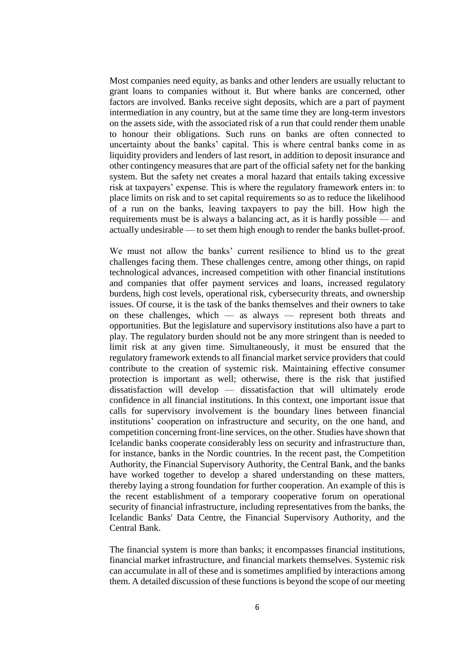Most companies need equity, as banks and other lenders are usually reluctant to grant loans to companies without it. But where banks are concerned, other factors are involved. Banks receive sight deposits, which are a part of payment intermediation in any country, but at the same time they are long-term investors on the assets side, with the associated risk of a run that could render them unable to honour their obligations. Such runs on banks are often connected to uncertainty about the banks' capital. This is where central banks come in as liquidity providers and lenders of last resort, in addition to deposit insurance and other contingency measures that are part of the official safety net for the banking system. But the safety net creates a moral hazard that entails taking excessive risk at taxpayers' expense. This is where the regulatory framework enters in: to place limits on risk and to set capital requirements so as to reduce the likelihood of a run on the banks, leaving taxpayers to pay the bill. How high the requirements must be is always a balancing act, as it is hardly possible — and actually undesirable — to set them high enough to render the banks bullet-proof.

We must not allow the banks' current resilience to blind us to the great challenges facing them. These challenges centre, among other things, on rapid technological advances, increased competition with other financial institutions and companies that offer payment services and loans, increased regulatory burdens, high cost levels, operational risk, cybersecurity threats, and ownership issues. Of course, it is the task of the banks themselves and their owners to take on these challenges, which — as always — represent both threats and opportunities. But the legislature and supervisory institutions also have a part to play. The regulatory burden should not be any more stringent than is needed to limit risk at any given time. Simultaneously, it must be ensured that the regulatory framework extends to all financial market service providers that could contribute to the creation of systemic risk. Maintaining effective consumer protection is important as well; otherwise, there is the risk that justified dissatisfaction will develop — dissatisfaction that will ultimately erode confidence in all financial institutions. In this context, one important issue that calls for supervisory involvement is the boundary lines between financial institutions' cooperation on infrastructure and security, on the one hand, and competition concerning front-line services, on the other. Studies have shown that Icelandic banks cooperate considerably less on security and infrastructure than, for instance, banks in the Nordic countries. In the recent past, the Competition Authority, the Financial Supervisory Authority, the Central Bank, and the banks have worked together to develop a shared understanding on these matters, thereby laying a strong foundation for further cooperation. An example of this is the recent establishment of a temporary cooperative forum on operational security of financial infrastructure, including representatives from the banks, the Icelandic Banks' Data Centre, the Financial Supervisory Authority, and the Central Bank.

The financial system is more than banks; it encompasses financial institutions, financial market infrastructure, and financial markets themselves. Systemic risk can accumulate in all of these and is sometimes amplified by interactions among them. A detailed discussion of these functions is beyond the scope of our meeting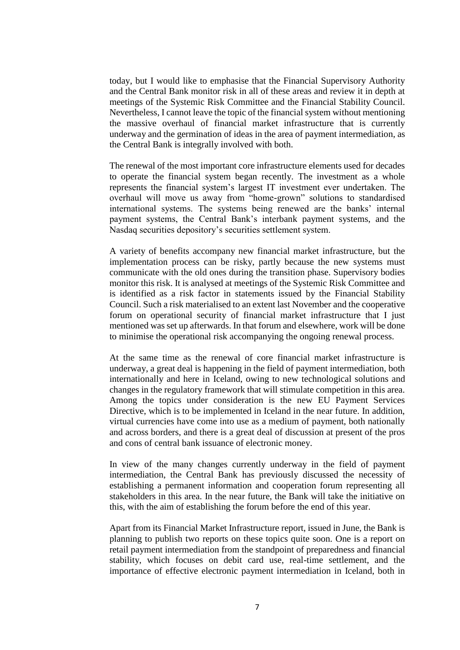today, but I would like to emphasise that the Financial Supervisory Authority and the Central Bank monitor risk in all of these areas and review it in depth at meetings of the Systemic Risk Committee and the Financial Stability Council. Nevertheless, I cannot leave the topic of the financial system without mentioning the massive overhaul of financial market infrastructure that is currently underway and the germination of ideas in the area of payment intermediation, as the Central Bank is integrally involved with both.

The renewal of the most important core infrastructure elements used for decades to operate the financial system began recently. The investment as a whole represents the financial system's largest IT investment ever undertaken. The overhaul will move us away from "home-grown" solutions to standardised international systems. The systems being renewed are the banks' internal payment systems, the Central Bank's interbank payment systems, and the Nasdaq securities depository's securities settlement system.

A variety of benefits accompany new financial market infrastructure, but the implementation process can be risky, partly because the new systems must communicate with the old ones during the transition phase. Supervisory bodies monitor this risk. It is analysed at meetings of the Systemic Risk Committee and is identified as a risk factor in statements issued by the Financial Stability Council. Such a risk materialised to an extent last November and the cooperative forum on operational security of financial market infrastructure that I just mentioned was set up afterwards. In that forum and elsewhere, work will be done to minimise the operational risk accompanying the ongoing renewal process.

At the same time as the renewal of core financial market infrastructure is underway, a great deal is happening in the field of payment intermediation, both internationally and here in Iceland, owing to new technological solutions and changes in the regulatory framework that will stimulate competition in this area. Among the topics under consideration is the new EU Payment Services Directive, which is to be implemented in Iceland in the near future. In addition, virtual currencies have come into use as a medium of payment, both nationally and across borders, and there is a great deal of discussion at present of the pros and cons of central bank issuance of electronic money.

In view of the many changes currently underway in the field of payment intermediation, the Central Bank has previously discussed the necessity of establishing a permanent information and cooperation forum representing all stakeholders in this area. In the near future, the Bank will take the initiative on this, with the aim of establishing the forum before the end of this year.

Apart from its Financial Market Infrastructure report, issued in June, the Bank is planning to publish two reports on these topics quite soon. One is a report on retail payment intermediation from the standpoint of preparedness and financial stability, which focuses on debit card use, real-time settlement, and the importance of effective electronic payment intermediation in Iceland, both in